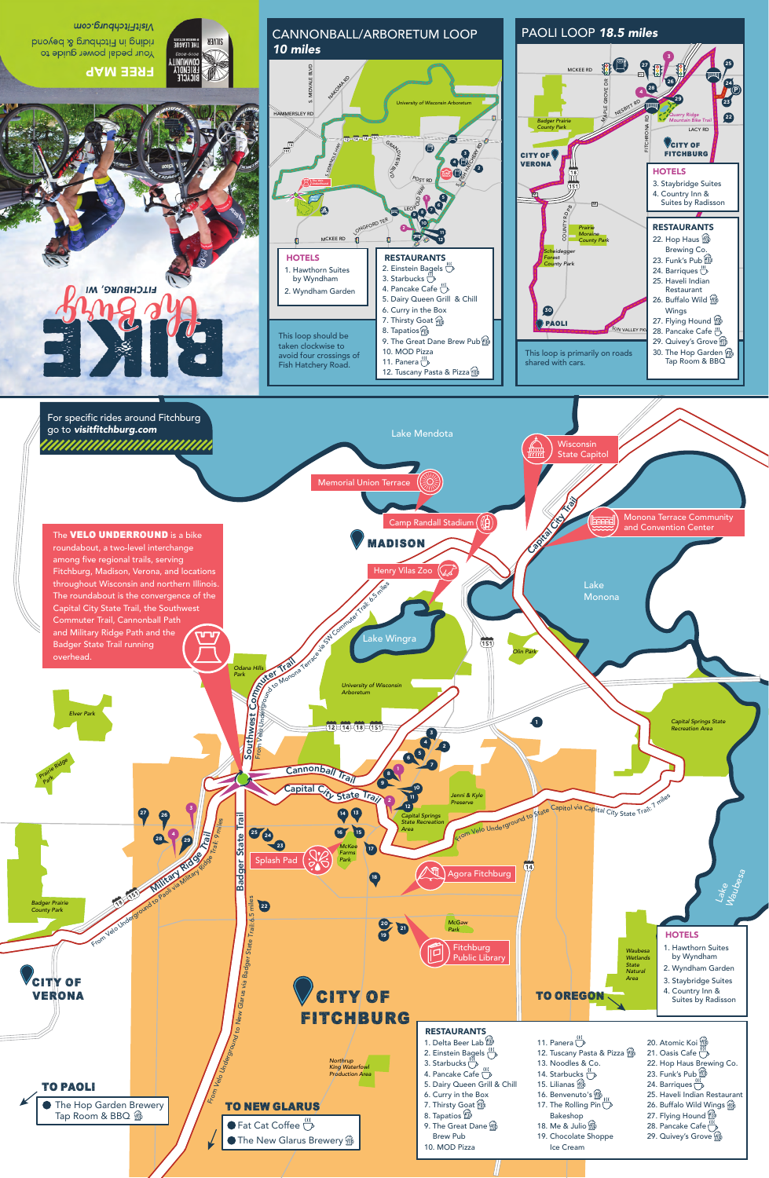